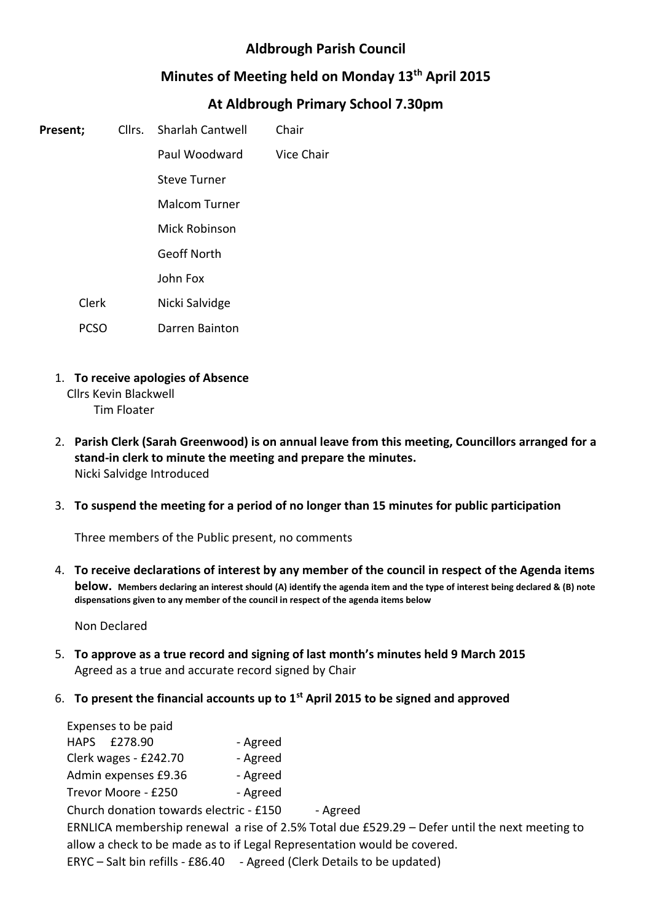# **Aldbrough Parish Council**

## **Minutes of Meeting held on Monday 13th April 2015**

# **At Aldbrough Primary School 7.30pm**

| Present; |       | Cllrs. Sharlah Cantwell | Chair      |
|----------|-------|-------------------------|------------|
|          |       | Paul Woodward           | Vice Chair |
|          |       | <b>Steve Turner</b>     |            |
|          |       | <b>Malcom Turner</b>    |            |
|          |       | <b>Mick Robinson</b>    |            |
|          |       | <b>Geoff North</b>      |            |
|          |       | John Fox                |            |
|          | Clerk | Nicki Salvidge          |            |
|          | PCSO  | Darren Bainton          |            |

1. **To receive apologies of Absence**

Cllrs Kevin Blackwell

- Tim Floater
- 2. **Parish Clerk (Sarah Greenwood) is on annual leave from this meeting, Councillors arranged for a stand-in clerk to minute the meeting and prepare the minutes.** Nicki Salvidge Introduced
- 3. **To suspend the meeting for a period of no longer than 15 minutes for public participation**

Three members of the Public present, no comments

4. **To receive declarations of interest by any member of the council in respect of the Agenda items below. Members declaring an interest should (A) identify the agenda item and the type of interest being declared & (B) note dispensations given to any member of the council in respect of the agenda items below**

Non Declared

- 5. **To approve as a true record and signing of last month's minutes held 9 March 2015** Agreed as a true and accurate record signed by Chair
- 6. **To present the financial accounts up to 1st April 2015 to be signed and approved**

| Expenses to be paid                                                                             |          |  |  |  |  |  |
|-------------------------------------------------------------------------------------------------|----------|--|--|--|--|--|
| HAPS £278.90                                                                                    | - Agreed |  |  |  |  |  |
| Clerk wages - £242.70                                                                           | - Agreed |  |  |  |  |  |
| Admin expenses £9.36                                                                            | - Agreed |  |  |  |  |  |
| Trevor Moore - £250                                                                             | - Agreed |  |  |  |  |  |
| Church donation towards electric - £150<br>- Agreed                                             |          |  |  |  |  |  |
| ERNLICA membership renewal a rise of 2.5% Total due $£529.29 - Defer$ until the next meeting to |          |  |  |  |  |  |
| allow a check to be made as to if Legal Representation would be covered.                        |          |  |  |  |  |  |
| ERYC – Salt bin refills - £86.40 - Agreed (Clerk Details to be updated)                         |          |  |  |  |  |  |
|                                                                                                 |          |  |  |  |  |  |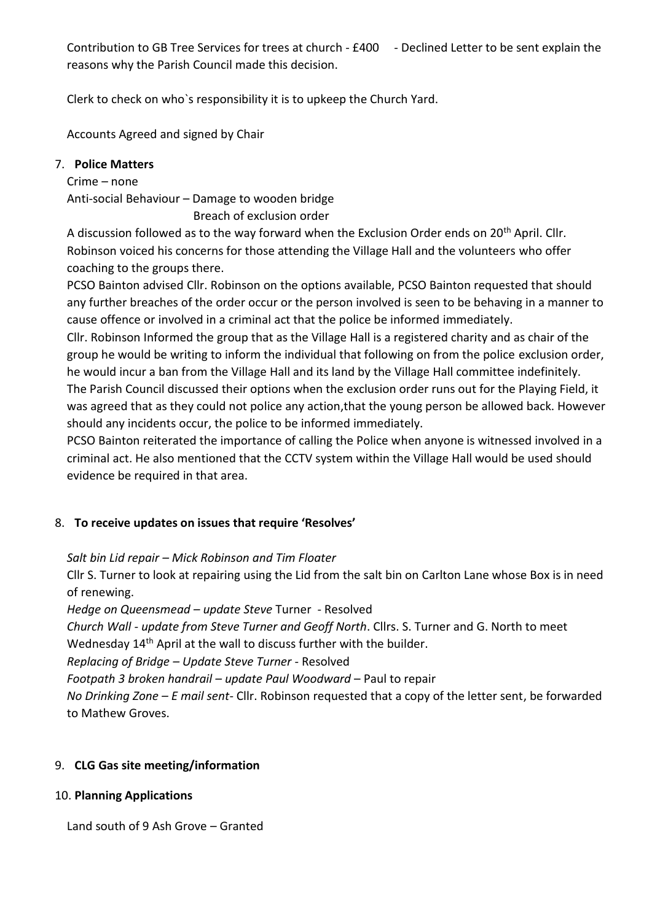Contribution to GB Tree Services for trees at church - £400 - Declined Letter to be sent explain the reasons why the Parish Council made this decision.

Clerk to check on who`s responsibility it is to upkeep the Church Yard.

Accounts Agreed and signed by Chair

### 7. **Police Matters**

Crime – none Anti-social Behaviour – Damage to wooden bridge Breach of exclusion order

A discussion followed as to the way forward when the Exclusion Order ends on 20<sup>th</sup> April. Cllr. Robinson voiced his concerns for those attending the Village Hall and the volunteers who offer coaching to the groups there.

PCSO Bainton advised Cllr. Robinson on the options available, PCSO Bainton requested that should any further breaches of the order occur or the person involved is seen to be behaving in a manner to cause offence or involved in a criminal act that the police be informed immediately.

Cllr. Robinson Informed the group that as the Village Hall is a registered charity and as chair of the group he would be writing to inform the individual that following on from the police exclusion order, he would incur a ban from the Village Hall and its land by the Village Hall committee indefinitely.

The Parish Council discussed their options when the exclusion order runs out for the Playing Field, it was agreed that as they could not police any action,that the young person be allowed back. However should any incidents occur, the police to be informed immediately.

PCSO Bainton reiterated the importance of calling the Police when anyone is witnessed involved in a criminal act. He also mentioned that the CCTV system within the Village Hall would be used should evidence be required in that area.

### 8. **To receive updates on issues that require 'Resolves'**

*Salt bin Lid repair – Mick Robinson and Tim Floater*

Cllr S. Turner to look at repairing using the Lid from the salt bin on Carlton Lane whose Box is in need of renewing.

*Hedge on Queensmead – update Steve* Turner - Resolved

*Church Wall - update from Steve Turner and Geoff North*. Cllrs. S. Turner and G. North to meet

Wednesday 14<sup>th</sup> April at the wall to discuss further with the builder.

*Replacing of Bridge – Update Steve Turner* - Resolved

*Footpath 3 broken handrail – update Paul Woodward* – Paul to repair

*No Drinking Zone – E mail sent*- Cllr. Robinson requested that a copy of the letter sent, be forwarded to Mathew Groves.

## 9. **CLG Gas site meeting/information**

### 10. **Planning Applications**

Land south of 9 Ash Grove – Granted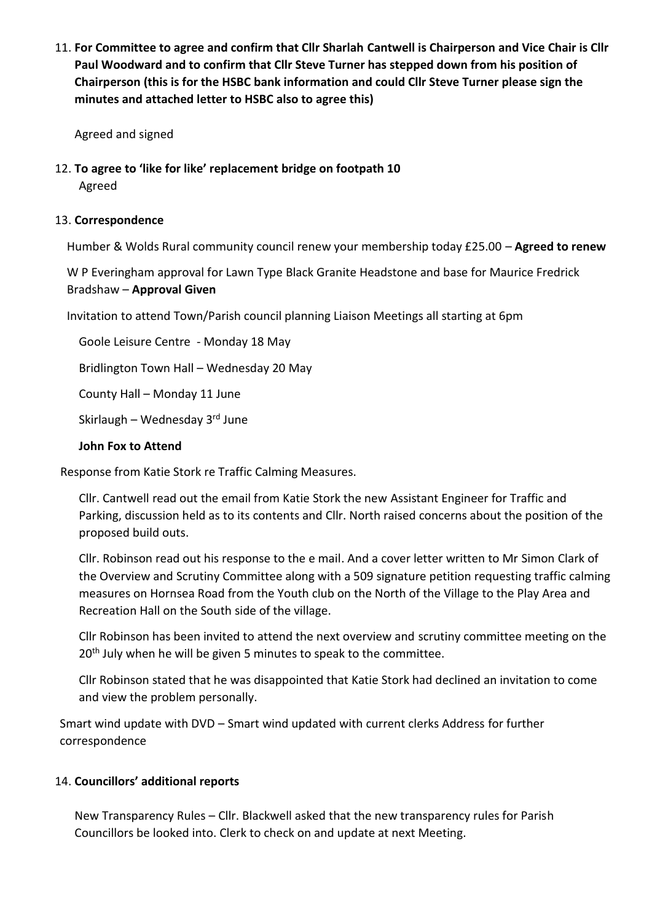11. **For Committee to agree and confirm that Cllr Sharlah Cantwell is Chairperson and Vice Chair is Cllr Paul Woodward and to confirm that Cllr Steve Turner has stepped down from his position of Chairperson (this is for the HSBC bank information and could Cllr Steve Turner please sign the minutes and attached letter to HSBC also to agree this)**

Agreed and signed

12. **To agree to 'like for like' replacement bridge on footpath 10** Agreed

#### 13. **Correspondence**

Humber & Wolds Rural community council renew your membership today £25.00 – **Agreed to renew**

W P Everingham approval for Lawn Type Black Granite Headstone and base for Maurice Fredrick Bradshaw – **Approval Given**

Invitation to attend Town/Parish council planning Liaison Meetings all starting at 6pm

Goole Leisure Centre - Monday 18 May

Bridlington Town Hall – Wednesday 20 May

County Hall – Monday 11 June

Skirlaugh – Wednesday  $3<sup>rd</sup>$  June

#### **John Fox to Attend**

Response from Katie Stork re Traffic Calming Measures.

Cllr. Cantwell read out the email from Katie Stork the new Assistant Engineer for Traffic and Parking, discussion held as to its contents and Cllr. North raised concerns about the position of the proposed build outs.

Cllr. Robinson read out his response to the e mail. And a cover letter written to Mr Simon Clark of the Overview and Scrutiny Committee along with a 509 signature petition requesting traffic calming measures on Hornsea Road from the Youth club on the North of the Village to the Play Area and Recreation Hall on the South side of the village.

Cllr Robinson has been invited to attend the next overview and scrutiny committee meeting on the 20<sup>th</sup> July when he will be given 5 minutes to speak to the committee.

Cllr Robinson stated that he was disappointed that Katie Stork had declined an invitation to come and view the problem personally.

Smart wind update with DVD – Smart wind updated with current clerks Address for further correspondence

### 14. **Councillors' additional reports**

New Transparency Rules – Cllr. Blackwell asked that the new transparency rules for Parish Councillors be looked into. Clerk to check on and update at next Meeting.